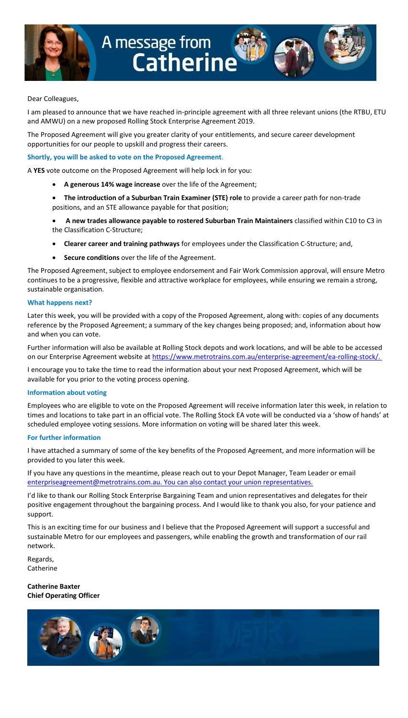



#### Dear Colleagues,

I am pleased to announce that we have reached in-principle agreement with all three relevant unions (the RTBU, ETU and AMWU) on a new proposed Rolling Stock Enterprise Agreement 2019.

The Proposed Agreement will give you greater clarity of your entitlements, and secure career development opportunities for our people to upskill and progress their careers.

#### **Shortly, you will be asked to vote on the Proposed Agreement**.

A **YES** vote outcome on the Proposed Agreement will help lock in for you:

- **A generous 14% wage increase** over the life of the Agreement;
- **The introduction of a Suburban Train Examiner (STE) role** to provide a career path for non-trade positions, and an STE allowance payable for that position;
- **A new trades allowance payable to rostered Suburban Train Maintainers** classified within C10 to C3 in the Classification C-Structure;
- **Clearer career and training pathways** for employees under the Classification C-Structure; and,
- **Secure conditions** over the life of the Agreement.

The Proposed Agreement, subject to employee endorsement and Fair Work Commission approval, will ensure Metro continues to be a progressive, flexible and attractive workplace for employees, while ensuring we remain a strong, sustainable organisation.

#### **What happens next?**

Later this week, you will be provided with a copy of the Proposed Agreement, along with: copies of any documents reference by the Proposed Agreement; a summary of the key changes being proposed; and, information about how and when you can vote.

Further information will also be available at Rolling Stock depots and work locations, and will be able to be accessed on our Enterprise Agreement website at [https://www.metrotrains.com.au/enterprise-agreement/ea-rolling-stock/.](https://www.metrotrains.com.au/enterprise-agreement/ea-rolling-stock/)

I encourage you to take the time to read the information about your next Proposed Agreement, which will be available for you prior to the voting process opening.

#### **Information about voting**

Employees who are eligible to vote on the Proposed Agreement will receive information later this week, in relation to times and locations to take part in an official vote. The Rolling Stock EA vote will be conducted via a 'show of hands' at scheduled employee voting sessions. More information on voting will be shared later this week.

#### **For further information**

I have attached a summary of some of the key benefits of the Proposed Agreement, and more information will be provided to you later this week.

If you have any questions in the meantime, please reach out to your Depot Manager, Team Leader or email [enterpriseagreement@metrotrains.com.au.](mailto:enterpriseagreement@metrotrains.com.au) You can also contact your union representatives.

I'd like to thank our Rolling Stock Enterprise Bargaining Team and union representatives and delegates for their positive engagement throughout the bargaining process. And I would like to thank you also, for your patience and support.

This is an exciting time for our business and I believe that the Proposed Agreement will support a successful and sustainable Metro for our employees and passengers, while enabling the growth and transformation of our rail network.

Regards, **Catherine** 

**Catherine Baxter Chief Operating Officer**

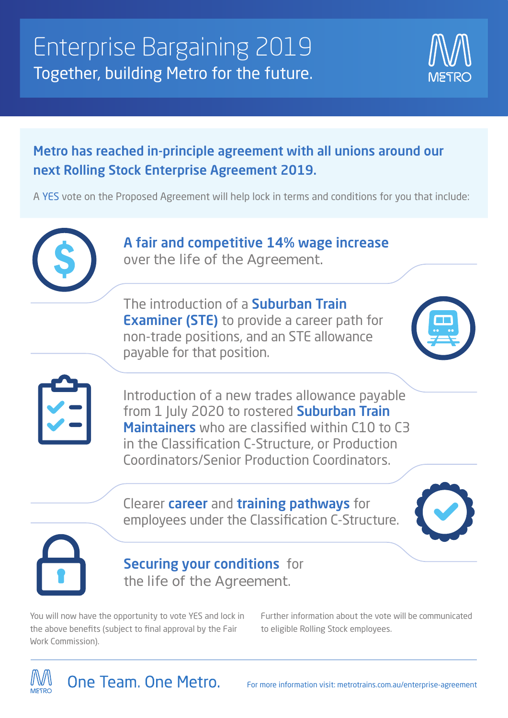

# Metro has reached in-principle agreement with all unions around our next Rolling Stock Enterprise Agreement 2019.

A YES vote on the Proposed Agreement will help lock in terms and conditions for you that include:



A fair and competitive 14% wage increase over the life of the Agreement.

The introduction of a **Suburban Train Examiner (STE)** to provide a career path for non-trade positions, and an STE allowance payable for that position.





Introduction of a new trades allowance payable from 1 July 2020 to rostered **Suburban Train** Maintainers who are classified within C10 to C3 in the Classification C-Structure, or Production Coordinators/Senior Production Coordinators.

### Clearer career and training pathways for employees under the Classification C-Structure.





## **Securing your conditions** for the life of the Agreement.

You will now have the opportunity to vote YES and lock in the above benefits (subject to final approval by the Fair Work Commission).

Further information about the vote will be communicated to eligible Rolling Stock employees.

One Team, One Metro.